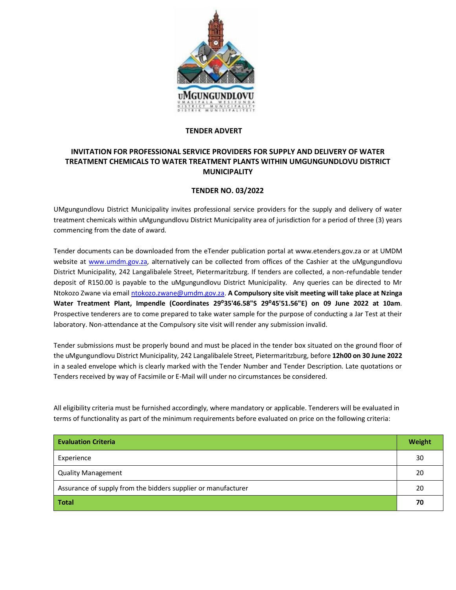

## **TENDER ADVERT**

## **INVITATION FOR PROFESSIONAL SERVICE PROVIDERS FOR SUPPLY AND DELIVERY OF WATER TREATMENT CHEMICALS TO WATER TREATMENT PLANTS WITHIN UMGUNGUNDLOVU DISTRICT MUNICIPALITY**

## **TENDER NO. 03/2022**

UMgungundlovu District Municipality invites professional service providers for the supply and delivery of water treatment chemicals within uMgungundlovu District Municipality area of jurisdiction for a period of three (3) years commencing from the date of award.

Tender documents can be downloaded from the eTender publication portal at www.etenders.gov.za or at UMDM website at [www.umdm.gov.za,](http://www.umdm.gov.za/) alternatively can be collected from offices of the Cashier at the uMgungundlovu District Municipality, 242 Langalibalele Street, Pietermaritzburg. If tenders are collected, a non-refundable tender deposit of R150.00 is payable to the uMgungundlovu District Municipality. Any queries can be directed to Mr Ntokozo Zwane via email [ntokozo.zwane@umdm.gov.za.](mailto:ntokozo.zwane@umdm.gov.za) **A Compulsory site visit meeting will take place at Nzinga Water Treatment Plant, Impendle (Coordinates 29⁰35'46.58"S 29⁰45'51.56"E) on 09 June 2022 at 10am**. Prospective tenderers are to come prepared to take water sample for the purpose of conducting a Jar Test at their laboratory. Non-attendance at the Compulsory site visit will render any submission invalid.

Tender submissions must be properly bound and must be placed in the tender box situated on the ground floor of the uMgungundlovu District Municipality, 242 Langalibalele Street, Pietermaritzburg, before **12h00 on 30 June 2022** in a sealed envelope which is clearly marked with the Tender Number and Tender Description. Late quotations or Tenders received by way of Facsimile or E-Mail will under no circumstances be considered.

All eligibility criteria must be furnished accordingly, where mandatory or applicable. Tenderers will be evaluated in terms of functionality as part of the minimum requirements before evaluated on price on the following criteria:

| <b>Evaluation Criteria</b>                                    | Weight |
|---------------------------------------------------------------|--------|
| Experience                                                    | 30     |
| <b>Quality Management</b>                                     | 20     |
| Assurance of supply from the bidders supplier or manufacturer | 20     |
| <b>Total</b>                                                  | 70     |